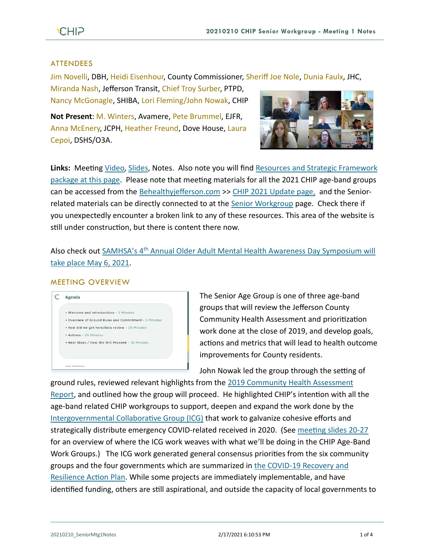#### ATTENDEES

Jim Novelli, DBH, Heidi Eisenhour, County Commissioner, Sheriff Joe Nole, Dunia Faulx, JHC,

Miranda Nash, Jefferson Transit, Chief Troy Surber, PTPD, Nancy McGonagle, SHIBA, Lori Fleming/John Nowak, CHIP

**Not Present**: M. Winters, Avamere, Pete Brummel, EJFR, Anna McEnery, JCPH, Heather Freund, Dove House, Laura Cepoi, DSHS/O3A.



**Links:** Meeting [Video,](https://youtu.be/EQfzrGVEUJk) [Slides,](https://793b0af6-bf22-4c2c-91c8-8cc6fd2f172d.filesusr.com/ugd/2fdcdd_c1000740134f40d684581bbe9acee448.pdf) Notes. Also note you will find [Resources and Strategic Framework](https://www.behealthyjefferson.com/seniorworkgroup)  [package at this page.](https://www.behealthyjefferson.com/seniorworkgroup) Please note that meeting materials for all the 2021 CHIP age-band groups can be accessed from the [Behealthyjefferson.com](https://www.behealthyjefferson.com/) >> [CHIP 2021 Update](https://www.behealthyjefferson.com/chip2021update) page, and the Senior-related materials can be directly connected to at the Senior [Workgroup](https://www.behealthyjefferson.com/seniorworkgroup) page. Check there if you unexpectedly encounter a broken link to any of these resources. This area of the website is still under construction, but there is content there now.

Also check out SAMHSA's 4th [Annual Older Adult Mental Health Awareness Day Symposium will](https://www.ncoa.org/event/4th-annual-older-adult-mental-health-awareness-day-symposium/)  [take place May 6, 2021.](https://www.ncoa.org/event/4th-annual-older-adult-mental-health-awareness-day-symposium/)

#### MEETING OVERVIEW



The Senior Age Group is one of three age-band groups that will review the Jefferson County Community Health Assessment and prioritization work done at the close of 2019, and develop goals, actions and metrics that will lead to health outcome improvements for County residents.

John Nowak led the group through the setting of

ground rules, reviewed relevant highlights from the [2019 Community Health Assessment](https://www.behealthyjefferson.com/2019-cha)  [Report,](https://www.behealthyjefferson.com/2019-cha) and outlined how the group will proceed. He highlighted CHIP's intention with all the age-band related CHIP workgroups to support, deepen and expand the work done by the [Intergovernmental Collaborative Group \(ICG\)](https://www.jeffersoncountypublichealth.org/1491/Intergovernmental-Collaborative-Group-IC) that work to galvanize cohesive efforts and strategically distribute emergency COVID-related received in 2020. (See [meeting slides 20-27](https://793b0af6-bf22-4c2c-91c8-8cc6fd2f172d.filesusr.com/ugd/2fdcdd_c1000740134f40d684581bbe9acee448.pdf) for an overview of where the ICG work weaves with what we'll be doing in the CHIP Age-Band Work Groups.) The ICG work generated general consensus priorities from the six community groups and the four governments which are summarized in [the COVID-19 Recovery and](http://test.co.jefferson.wa.us/WebLinkExternal/0/edoc/2633622/Final%20COVID-19%20Recovery%20%20Resilience%20Action%20Plan.pdf)  [Resilience Action Plan.](http://test.co.jefferson.wa.us/WebLinkExternal/0/edoc/2633622/Final%20COVID-19%20Recovery%20%20Resilience%20Action%20Plan.pdf) While some projects are immediately implementable, and have identified funding, others are still aspirational, and outside the capacity of local governments to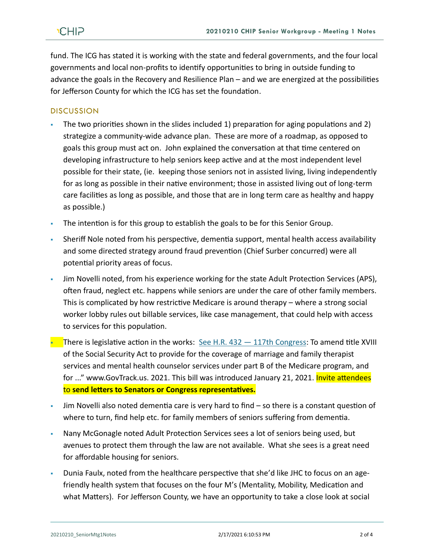fund. The ICG has stated it is working with the state and federal governments, and the four local governments and local non-profits to identify opportunities to bring in outside funding to advance the goals in the Recovery and Resilience Plan – and we are energized at the possibilities for Jefferson County for which the ICG has set the foundation.

#### **DISCUSSION**

- The two priorities shown in the slides included 1) preparation for aging populations and 2) strategize a community-wide advance plan. These are more of a roadmap, as opposed to goals this group must act on. John explained the conversation at that time centered on developing infrastructure to help seniors keep active and at the most independent level possible for their state, (ie. keeping those seniors not in assisted living, living independently for as long as possible in their native environment; those in assisted living out of long-term care facilities as long as possible, and those that are in long term care as healthy and happy as possible.)
- The intention is for this group to establish the goals to be for this Senior Group.
- Sheriff Nole noted from his perspective, dementia support, mental health access availability and some directed strategy around fraud prevention (Chief Surber concurred) were all potential priority areas of focus.
- Jim Novelli noted, from his experience working for the state Adult Protection Services (APS), often fraud, neglect etc. happens while seniors are under the care of other family members. This is complicated by how restrictive Medicare is around therapy – where a strong social worker lobby rules out billable services, like case management, that could help with access to services for this population.
- **There is legislative action in the works:** See H.R.  $432 117$ th Congress: To amend title XVIII of the Social Security Act to provide for the coverage of marriage and family therapist services and mental health counselor services under part B of the Medicare program, and for ..." www.GovTrack.us. 2021. This bill was introduced January 21, 2021. Invite attendees to **send letters to Senators or Congress representatives.**
- $J$ im Novelli also noted dementia care is very hard to find so there is a constant question of where to turn, find help etc. for family members of seniors suffering from dementia.
- Nany McGonagle noted Adult Protection Services sees a lot of seniors being used, but avenues to protect them through the law are not available. What she sees is a great need for affordable housing for seniors.
- Dunia Faulx, noted from the healthcare perspective that she'd like JHC to focus on an agefriendly health system that focuses on the four M's (Mentality, Mobility, Medication and what Matters). For Jefferson County, we have an opportunity to take a close look at social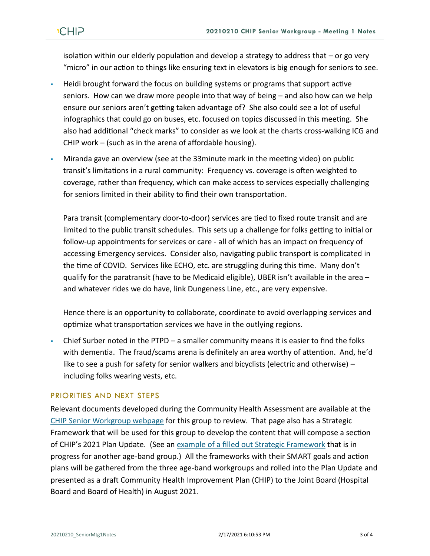isolation within our elderly population and develop a strategy to address that – or go very "micro" in our action to things like ensuring text in elevators is big enough for seniors to see.

- Heidi brought forward the focus on building systems or programs that support active seniors. How can we draw more people into that way of being – and also how can we help ensure our seniors aren't getting taken advantage of? She also could see a lot of useful infographics that could go on buses, etc. focused on topics discussed in this meeting. She also had additional "check marks" to consider as we look at the charts cross-walking ICG and CHIP work – (such as in the arena of affordable housing).
- Miranda gave an overview (see at the 33minute mark in the meeting video) on public transit's limitations in a rural community: Frequency vs. coverage is often weighted to coverage, rather than frequency, which can make access to services especially challenging for seniors limited in their ability to find their own transportation.

Para transit (complementary door-to-door) services are tied to fixed route transit and are limited to the public transit schedules. This sets up a challenge for folks getting to initial or follow-up appointments for services or care - all of which has an impact on frequency of accessing Emergency services. Consider also, navigating public transport is complicated in the time of COVID. Services like ECHO, etc. are struggling during this time. Many don't qualify for the paratransit (have to be Medicaid eligible), UBER isn't available in the area – and whatever rides we do have, link Dungeness Line, etc., are very expensive.

Hence there is an opportunity to collaborate, coordinate to avoid overlapping services and optimize what transportation services we have in the outlying regions.

Chief Surber noted in the PTPD – a smaller community means it is easier to find the folks with dementia. The fraud/scams arena is definitely an area worthy of attention. And, he'd like to see a push for safety for senior walkers and bicyclists (electric and otherwise) – including folks wearing vests, etc.

## PRIORITIES AND NEXT STEPS

Relevant documents developed during the Community Health Assessment are available at the [CHIP Senior Workgroup webpage](https://www.behealthyjefferson.com/seniorworkgroup) for this group to review. That page also has a Strategic Framework that will be used for this group to develop the content that will compose a section of CHIP's 2021 Plan Update. (See an [example of a filled out Strategic Framework](https://793b0af6-bf22-4c2c-91c8-8cc6fd2f172d.filesusr.com/ugd/2fdcdd_2c7f974fdb1e4c06bd2bac6444727f84.pdf) that is in progress for another age-band group.) All the frameworks with their SMART goals and action plans will be gathered from the three age-band workgroups and rolled into the Plan Update and presented as a draft Community Health Improvement Plan (CHIP) to the Joint Board (Hospital Board and Board of Health) in August 2021.